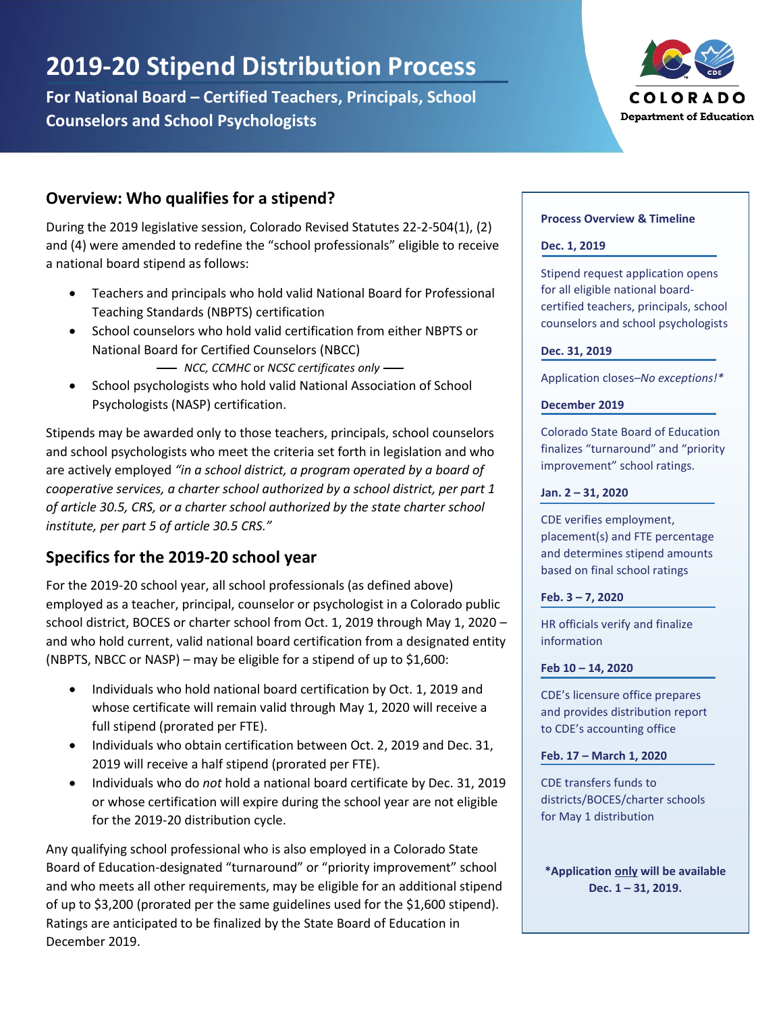# **2019-20 Stipend Distribution Process**

**For National Board – Certified Teachers, Principals, School Counselors and School Psychologists**



## **Overview: Who qualifies for a stipend?**

During the 2019 legislative session, Colorado Revised Statutes 22-2-504(1), (2) and (4) were amended to redefine the "school professionals" eligible to receive a national board stipend as follows:

- Teachers and principals who hold valid National Board for Professional Teaching Standards (NBPTS) certification
- School counselors who hold valid certification from either NBPTS or National Board for Certified Counselors (NBCC) *NCC, CCMHC* or *NCSC certificates only*
- School psychologists who hold valid National Association of School Psychologists (NASP) certification.

Stipends may be awarded only to those teachers, principals, school counselors and school psychologists who meet the criteria set forth in legislation and who are actively employed *"in a school district, a program operated by a board of cooperative services, a charter school authorized by a school district, per part 1 of article 30.5, CRS, or a charter school authorized by the state charter school institute, per part 5 of article 30.5 CRS."*

# **Specifics for the 2019-20 school year**

For the 2019-20 school year, all school professionals (as defined above) employed as a teacher, principal, counselor or psychologist in a Colorado public school district, BOCES or charter school from Oct. 1, 2019 through May 1, 2020 – and who hold current, valid national board certification from a designated entity (NBPTS, NBCC or NASP) – may be eligible for a stipend of up to \$1,600:

- Individuals who hold national board certification by Oct. 1, 2019 and whose certificate will remain valid through May 1, 2020 will receive a full stipend (prorated per FTE).
- Individuals who obtain certification between Oct. 2, 2019 and Dec. 31, 2019 will receive a half stipend (prorated per FTE).
- Individuals who do *not* hold a national board certificate by Dec. 31, 2019 or whose certification will expire during the school year are not eligible for the 2019-20 distribution cycle.

Any qualifying school professional who is also employed in a Colorado State Board of Education-designated "turnaround" or "priority improvement" school and who meets all other requirements, may be eligible for an additional stipend of up to \$3,200 (prorated per the same guidelines used for the \$1,600 stipend). Ratings are anticipated to be finalized by the State Board of Education in December 2019.

#### **Process Overview & Timeline**

#### **Dec. 1, 2019**

Stipend request application opens for all eligible national boardcertified teachers, principals, school counselors and school psychologists

#### **Dec. 31, 2019**

Application closes–*No exceptions!\**

#### **December 2019**

Colorado State Board of Education finalizes "turnaround" and "priority improvement" school ratings.

#### **Jan. 2 – 31, 2020**

CDE verifies employment, placement(s) and FTE percentage and determines stipend amounts based on final school ratings

#### **Feb. 3 – 7, 2020**

HR officials verify and finalize information

#### **Feb 10 – 14, 2020**

CDE's licensure office prepares and provides distribution report to CDE's accounting office

**Feb. 17 – March 1, 2020**

CDE transfers funds to districts/BOCES/charter schools for May 1 distribution

**\*Application only will be available Dec. 1 – 31, 2019.**